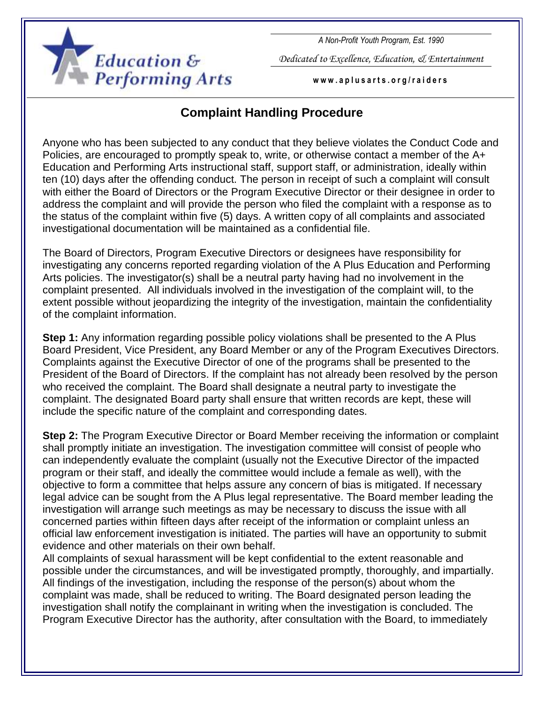

*A Non-Profit Youth Program, Est. 1990*

*Dedicated to Excellence, Education, & Entertainment*

**w w w . a p l u s a r t s . o r g / r a i d e r s**

## **Complaint Handling Procedure**

Anyone who has been subjected to any conduct that they believe violates the Conduct Code and Policies, are encouraged to promptly speak to, write, or otherwise contact a member of the A+ Education and Performing Arts instructional staff, support staff, or administration, ideally within ten (10) days after the offending conduct. The person in receipt of such a complaint will consult with either the Board of Directors or the Program Executive Director or their designee in order to address the complaint and will provide the person who filed the complaint with a response as to the status of the complaint within five (5) days. A written copy of all complaints and associated investigational documentation will be maintained as a confidential file.

The Board of Directors, Program Executive Directors or designees have responsibility for investigating any concerns reported regarding violation of the A Plus Education and Performing Arts policies. The investigator(s) shall be a neutral party having had no involvement in the complaint presented. All individuals involved in the investigation of the complaint will, to the extent possible without jeopardizing the integrity of the investigation, maintain the confidentiality of the complaint information.

**Step 1:** Any information regarding possible policy violations shall be presented to the A Plus Board President, Vice President, any Board Member or any of the Program Executives Directors. Complaints against the Executive Director of one of the programs shall be presented to the President of the Board of Directors. If the complaint has not already been resolved by the person who received the complaint. The Board shall designate a neutral party to investigate the complaint. The designated Board party shall ensure that written records are kept, these will include the specific nature of the complaint and corresponding dates.

**Step 2:** The Program Executive Director or Board Member receiving the information or complaint shall promptly initiate an investigation. The investigation committee will consist of people who can independently evaluate the complaint (usually not the Executive Director of the impacted program or their staff, and ideally the committee would include a female as well), with the objective to form a committee that helps assure any concern of bias is mitigated. If necessary legal advice can be sought from the A Plus legal representative. The Board member leading the investigation will arrange such meetings as may be necessary to discuss the issue with all concerned parties within fifteen days after receipt of the information or complaint unless an official law enforcement investigation is initiated. The parties will have an opportunity to submit evidence and other materials on their own behalf.

All complaints of sexual harassment will be kept confidential to the extent reasonable and possible under the circumstances, and will be investigated promptly, thoroughly, and impartially. All findings of the investigation, including the response of the person(s) about whom the complaint was made, shall be reduced to writing. The Board designated person leading the investigation shall notify the complainant in writing when the investigation is concluded. The Program Executive Director has the authority, after consultation with the Board, to immediately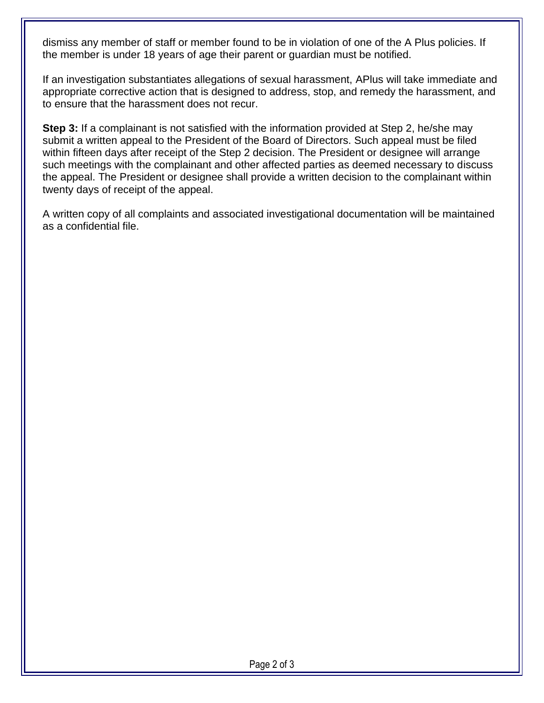dismiss any member of staff or member found to be in violation of one of the A Plus policies. If the member is under 18 years of age their parent or guardian must be notified.

If an investigation substantiates allegations of sexual harassment, APlus will take immediate and appropriate corrective action that is designed to address, stop, and remedy the harassment, and to ensure that the harassment does not recur.

**Step 3:** If a complainant is not satisfied with the information provided at Step 2, he/she may submit a written appeal to the President of the Board of Directors. Such appeal must be filed within fifteen days after receipt of the Step 2 decision. The President or designee will arrange such meetings with the complainant and other affected parties as deemed necessary to discuss the appeal. The President or designee shall provide a written decision to the complainant within twenty days of receipt of the appeal.

A written copy of all complaints and associated investigational documentation will be maintained as a confidential file.